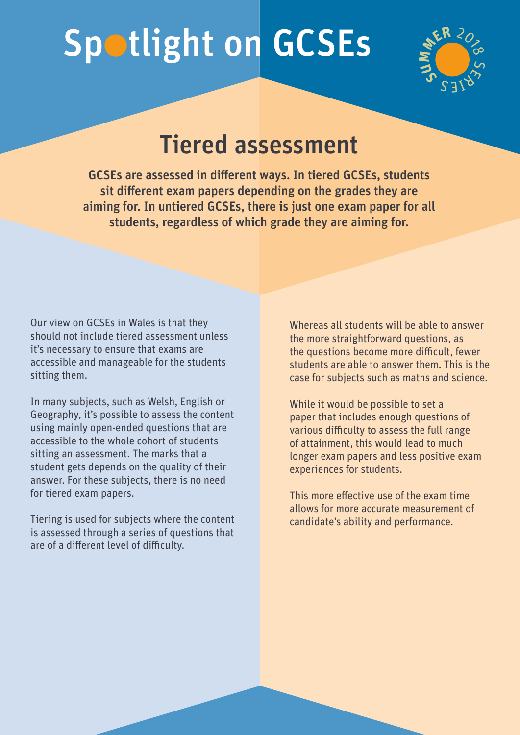## Spotlight on GCSEs



## Tiered assessment

GCSEs are assessed in different ways. In tiered GCSEs, students sit different exam papers depending on the grades they are aiming for. In untiered GCSEs, there is just one exam paper for all students, regardless of which grade they are aiming for.

Our view on GCSEs in Wales is that they should not include tiered assessment unless it's necessary to ensure that exams are accessible and manageable for the students sitting them.

In many subjects, such as Welsh, English or Geography, it's possible to assess the content using mainly open-ended questions that are accessible to the whole cohort of students sitting an assessment. The marks that a student gets depends on the quality of their answer. For these subjects, there is no need for tiered exam papers.

Tiering is used for subjects where the content is assessed through a series of questions that are of a different level of difficulty.

Whereas all students will be able to answer the more straightforward questions, as the questions become more difficult, fewer students are able to answer them. This is the case for subjects such as maths and science.

While it would be possible to set a paper that includes enough questions of various difficulty to assess the full range of attainment, this would lead to much longer exam papers and less positive exam experiences for students.

This more effective use of the exam time allows for more accurate measurement of candidate's ability and performance.